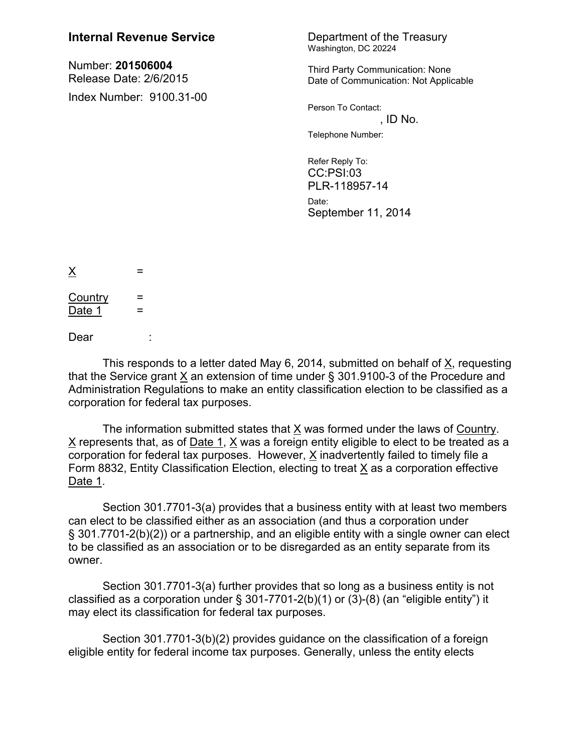## **Internal Revenue Service** Department of the Treasury

Number: **201506004** Release Date: 2/6/2015 Index Number: 9100.31-00 Washington, DC 20224

Third Party Communication: None Date of Communication: Not Applicable

Person To Contact:  $,$  ID No.

Telephone Number:

Refer Reply To: CC:PSI:03 PLR-118957-14 Date: September 11, 2014

 $\times$  =  $Country =$ Date 1  $=$ 

Dear :

This responds to a letter dated May 6, 2014, submitted on behalf of X, requesting that the Service grant X an extension of time under § 301.9100-3 of the Procedure and Administration Regulations to make an entity classification election to be classified as a corporation for federal tax purposes.

The information submitted states that X was formed under the laws of Country. X represents that, as of Date 1, X was a foreign entity eligible to elect to be treated as a corporation for federal tax purposes. However, X inadvertently failed to timely file a Form 8832, Entity Classification Election, electing to treat X as a corporation effective Date 1.

Section 301.7701-3(a) provides that a business entity with at least two members can elect to be classified either as an association (and thus a corporation under § 301.7701-2(b)(2)) or a partnership, and an eligible entity with a single owner can elect to be classified as an association or to be disregarded as an entity separate from its owner.

Section 301.7701-3(a) further provides that so long as a business entity is not classified as a corporation under  $\S$  301-7701-2(b)(1) or (3)-(8) (an "eligible entity") it may elect its classification for federal tax purposes.

Section 301.7701-3(b)(2) provides guidance on the classification of a foreign eligible entity for federal income tax purposes. Generally, unless the entity elects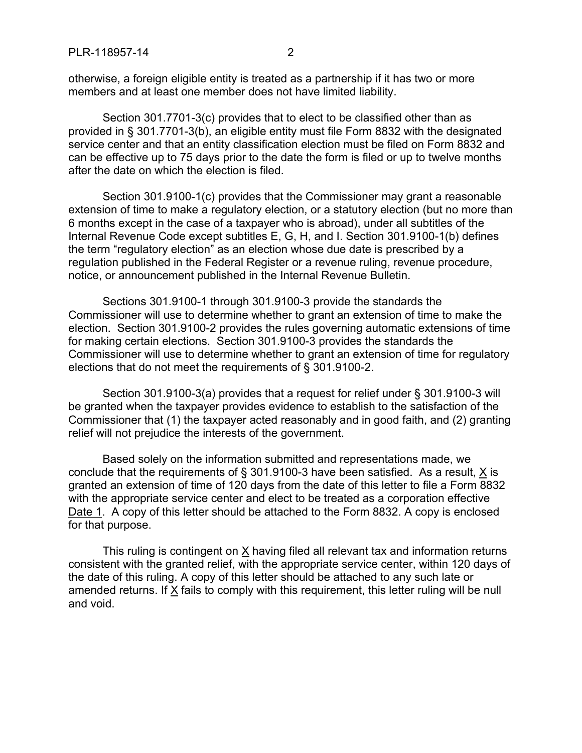otherwise, a foreign eligible entity is treated as a partnership if it has two or more members and at least one member does not have limited liability.

Section 301.7701-3(c) provides that to elect to be classified other than as provided in § 301.7701-3(b), an eligible entity must file Form 8832 with the designated service center and that an entity classification election must be filed on Form 8832 and can be effective up to 75 days prior to the date the form is filed or up to twelve months after the date on which the election is filed.

Section 301.9100-1(c) provides that the Commissioner may grant a reasonable extension of time to make a regulatory election, or a statutory election (but no more than 6 months except in the case of a taxpayer who is abroad), under all subtitles of the Internal Revenue Code except subtitles E, G, H, and I. Section 301.9100-1(b) defines the term "regulatory election" as an election whose due date is prescribed by a regulation published in the Federal Register or a revenue ruling, revenue procedure, notice, or announcement published in the Internal Revenue Bulletin.

Sections 301.9100-1 through 301.9100-3 provide the standards the Commissioner will use to determine whether to grant an extension of time to make the election. Section 301.9100-2 provides the rules governing automatic extensions of time for making certain elections. Section 301.9100-3 provides the standards the Commissioner will use to determine whether to grant an extension of time for regulatory elections that do not meet the requirements of § 301.9100-2.

Section 301.9100-3(a) provides that a request for relief under § 301.9100-3 will be granted when the taxpayer provides evidence to establish to the satisfaction of the Commissioner that (1) the taxpayer acted reasonably and in good faith, and (2) granting relief will not prejudice the interests of the government.

Based solely on the information submitted and representations made, we conclude that the requirements of  $\S$  301.9100-3 have been satisfied. As a result,  $X$  is granted an extension of time of 120 days from the date of this letter to file a Form 8832 with the appropriate service center and elect to be treated as a corporation effective Date 1. A copy of this letter should be attached to the Form 8832. A copy is enclosed for that purpose.

This ruling is contingent on  $\underline{X}$  having filed all relevant tax and information returns consistent with the granted relief, with the appropriate service center, within 120 days of the date of this ruling. A copy of this letter should be attached to any such late or amended returns. If X fails to comply with this requirement, this letter ruling will be null and void.